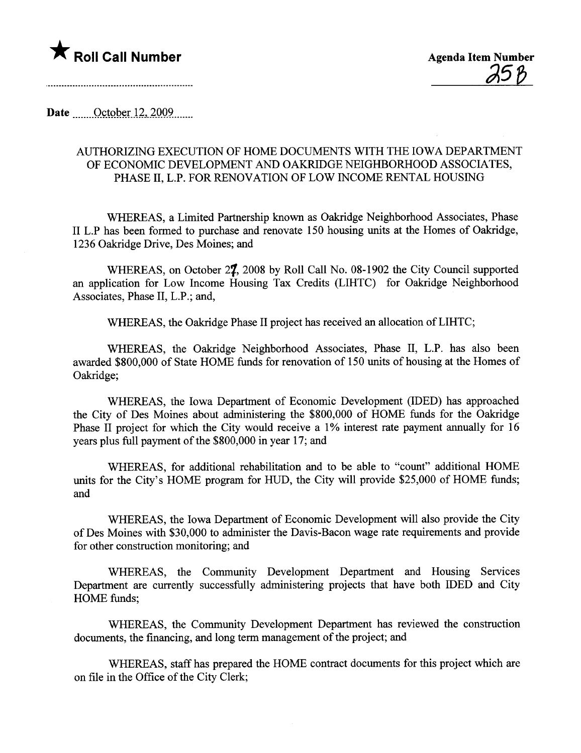

Date  $\qquad$  October 12, 2009....

## AUTHORIZING EXECUTION OF HOME DOCUMENTS WITH THE IOWA DEPARTMENT OF ECONOMIC DEVELOPMENT AND OAKRIDGE NEIGHBORHOOD ASSOCIATES, PHASE II, L.P. FOR RENOVATION OF LOW INCOME RENTAL HOUSING

WHEREAS, a Limited Partnership known as Oakridge Neighborhood Associates, Phase II L.P has been formed to purchase and renovate 150 housing units at the Homes of Oakridge, 1236 Oakridge Drive, Des Moines; and

WHEREAS, on October 27, 2008 by Roll Call No. 08-1902 the City Council supported an application for Low Income Housing Tax Credits (LIHTC) for Oakidge Neighborhood Associates, Phase II, L.P.; and,

WHEREAS, the Oakridge Phase II project has received an allocation of LIHTC;

WHEREAS, the Oakridge Neighborhood Associates, Phase II, L.P. has also been awarded \$800,000 of State HOME fuds for renovation of 150 unts of housing at the Homes of Oakridge;

WHEREAS, the Iowa Deparment of Economic Development (IDED) has approached the City of Des Moines about administering the \$800,000 of HOME funds for the Oakridge Phase II project for which the City would receive a 1% interest rate payment annually for 16 years plus full payment of the \$800,000 in year 17; and

WHEREAS, for additional rehabiltation and to be able to "count" additional HOME units for the City's HOME program for HUD, the City will provide \$25,000 of HOME fuds; and

WHEREAS, the Iowa Deparment of Economic Development will also provide the City of Des Moines with \$30,000 to administer the Davis-Bacon wage rate requirements and provide for other construction monitoring; and

WHEREAS, the Community Development Department and Housing Services Deparment are curently successfully administering projects that have both IDED and City HOME funds;

WHEREAS, the Community Development Department has reviewed the construction documents, the financing, and long term management of the project; and

WHEREAS, staff has prepared the HOME contract documents for this project which are on file in the Office of the City Clerk;